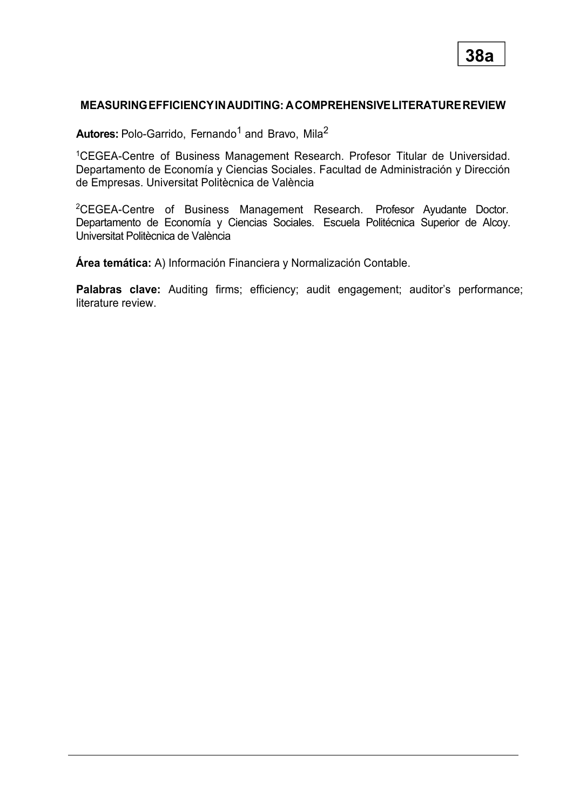### **MEASURINGEFFICIENCYINAUDITING: ACOMPREHENSIVELITERATUREREVIEW**

**Autores:** Polo-Garrido, Fernando <sup>1</sup> and Bravo, Mila<sup>2</sup>

<sup>1</sup>CEGEA-Centre of Business Management Research. Profesor Titular de Universidad. Departamento de Economía y Ciencias Sociales. Facultad de Administración y Dirección de Empresas. Universitat Politècnica de València

<sup>2</sup>CEGEA-Centre of Business Management Research. Profesor Ayudante Doctor. Departamento de Economía y Ciencias Sociales. Escuela Politécnica Superior de Alcoy. Universitat Politècnica de València

**Área temática:** A) Información Financiera y Normalización Contable.

Palabras clave: Auditing firms; efficiency; audit engagement; auditor's performance; literature review.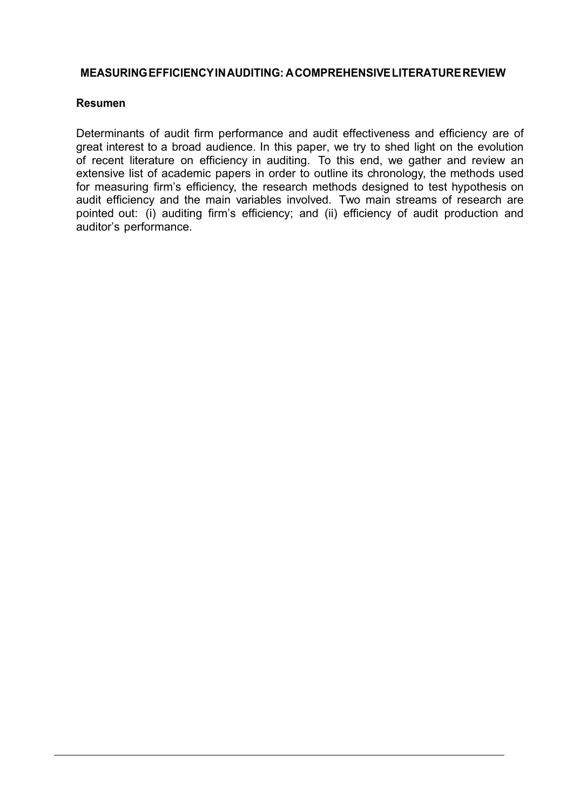### **MEASURINGEFFICIENCYINAUDITING: ACOMPREHENSIVELITERATUREREVIEW**

### **Resumen**

Determinants of audit firm performance and audit effectiveness and efficiency are of great interest to a broad audience. In this paper, we try to shed light on the evolution of recent literature on efficiency in auditing. To this end, we gather and review an extensive list of academic papers in order to outline its chronology, the methods used for measuring firm's efficiency, the research methods designed to test hypothesis on audit efficiency and the main variables involved. Two main streams of research are pointed out: (i) auditing firm's efficiency; and (ii) efficiency of audit production and auditor's performance.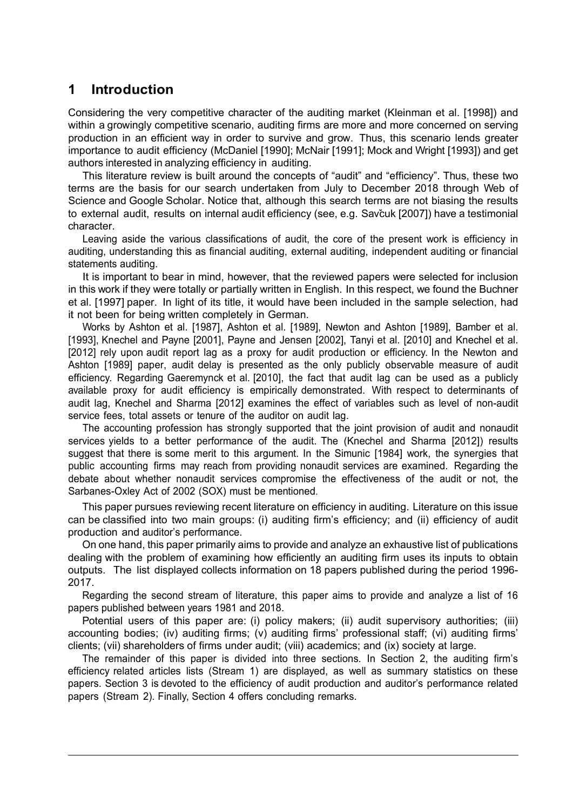## **1 Introduction**

Considering the very competitive character of the auditing market (Kleinman et al. [1998]) and within a growingly competitive scenario, auditing firms are more and more concerned on serving production in an efficient way in order to survive and grow. Thus, this scenario lends greater importance to audit efficiency (McDaniel [1990]; McNair [1991]; Mock and Wright [1993]) and get authors interested in analyzing efficiency in auditing.

This literature review is built around the concepts of "audit" and "efficiency". Thus, these two terms are the basis for our search undertaken from July to December 2018 through Web of Science and Google Scholar. Notice that, although this search terms are not biasing the results to external audit, results on internal audit efficiency (see, e.g. Savčuk [2007]) have a testimonial character.

Leaving aside the various classifications of audit, the core of the present work is efficiency in auditing, understanding this as financial auditing, external auditing, independent auditing or financial statements auditing.

It is important to bear in mind, however, that the reviewed papers were selected for inclusion in this work if they were totally or partially written in English. In this respect, we found the Buchner et al. [1997] paper. In light of its title, it would have been included in the sample selection, had it not been for being written completely in German.

Works by Ashton et al. [1987], Ashton et al. [1989], Newton and Ashton [1989], Bamber et al. [1993], Knechel and Payne [2001], Payne and Jensen [2002], Tanyi et al. [2010] and Knechel et al. [2012] rely upon audit report lag as a proxy for audit production or efficiency. In the Newton and Ashton [1989] paper, audit delay is presented as the only publicly observable measure of audit efficiency. Regarding Gaeremynck et al. [2010], the fact that audit lag can be used as a publicly available proxy for audit efficiency is empirically demonstrated. With respect to determinants of audit lag, Knechel and Sharma [2012] examines the effect of variables such as level of non-audit service fees, total assets or tenure of the auditor on audit lag.

The accounting profession has strongly supported that the joint provision of audit and nonaudit services yields to a better performance of the audit. The (Knechel and Sharma [2012]) results suggest that there is some merit to this argument. In the Simunic [1984] work, the synergies that public accounting firms may reach from providing nonaudit services are examined. Regarding the debate about whether nonaudit services compromise the effectiveness of the audit or not, the Sarbanes-Oxley Act of 2002 (SOX) must be mentioned.

This paper pursues reviewing recent literature on efficiency in auditing. Literature on this issue can be classified into two main groups: (i) auditing firm's efficiency; and (ii) efficiency of audit production and auditor's performance.

On one hand, this paper primarily aims to provide and analyze an exhaustive list of publications dealing with the problem of examining how efficiently an auditing firm uses its inputs to obtain outputs. The list displayed collects information on 18 papers published during the period 1996- 2017.

Regarding the second stream of literature, this paper aims to provide and analyze a list of 16 papers published between years 1981 and 2018.

Potential users of this paper are: (i) policy makers; (ii) audit supervisory authorities; (iii) accounting bodies; (iv) auditing firms; (v) auditing firms' professional staff; (vi) auditing firms' clients; (vii) shareholders of firms under audit; (viii) academics; and (ix) society at large.

The remainder of this paper is divided into three sections. In Section 2, the auditing firm's efficiency related articles lists (Stream 1) are displayed, as well as summary statistics on these papers. Section 3 is devoted to the efficiency of audit production and auditor's performance related papers (Stream 2). Finally, Section 4 offers concluding remarks.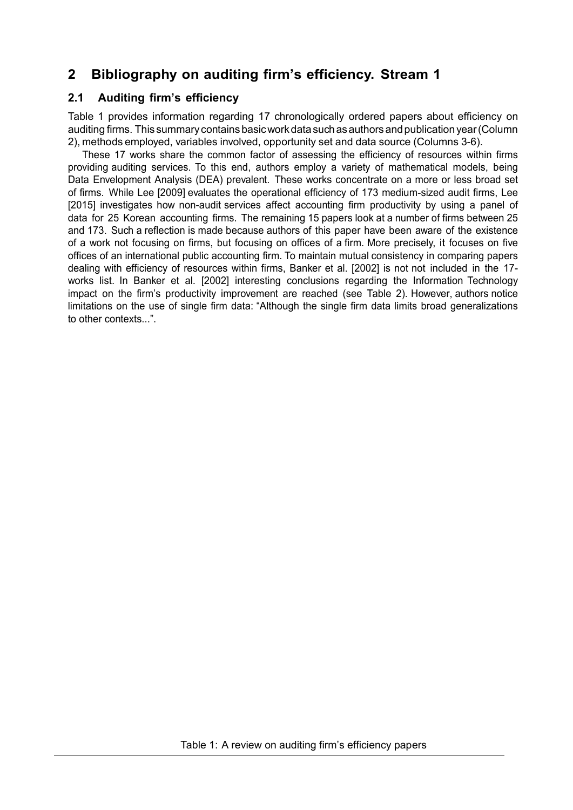# **2 Bibliography on auditing firm's efficiency. Stream 1**

### **2.1 Auditing firm's efficiency**

Table 1 provides information regarding 17 chronologically ordered papers about efficiency on auditing firms. This summary containsbasicworkdatasuchasauthorsandpublicationyear(Column 2), methods employed, variables involved, opportunity set and data source (Columns 3-6).

These 17 works share the common factor of assessing the efficiency of resources within firms providing auditing services. To this end, authors employ a variety of mathematical models, being Data Envelopment Analysis (DEA) prevalent. These works concentrate on a more or less broad set of firms. While Lee [2009] evaluates the operational efficiency of 173 medium-sized audit firms, Lee [2015] investigates how non-audit services affect accounting firm productivity by using a panel of data for 25 Korean accounting firms. The remaining 15 papers look at a number of firms between 25 and 173. Such a reflection is made because authors of this paper have been aware of the existence of a work not focusing on firms, but focusing on offices of a firm. More precisely, it focuses on five offices of an international public accounting firm. To maintain mutual consistency in comparing papers dealing with efficiency of resources within firms, Banker et al. [2002] is not not included in the 17 works list. In Banker et al. [2002] interesting conclusions regarding the Information Technology impact on the firm's productivity improvement are reached (see Table 2). However, authors notice limitations on the use of single firm data: "Although the single firm data limits broad generalizations to other contexts...".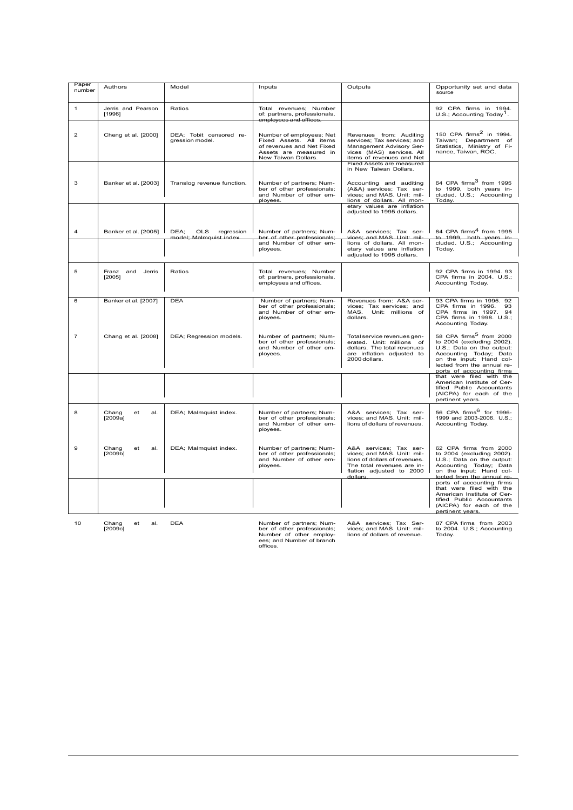| Paper<br>number | Authors                          | Model                                                      | Inputs                                                                                                                            | Outputs                                                                                                                                                                | Opportunity set and data<br>source                                                                                                                                                                            |
|-----------------|----------------------------------|------------------------------------------------------------|-----------------------------------------------------------------------------------------------------------------------------------|------------------------------------------------------------------------------------------------------------------------------------------------------------------------|---------------------------------------------------------------------------------------------------------------------------------------------------------------------------------------------------------------|
| $\mathbf{1}$    | Jerris and Pearson<br>[1996]     | Ratios                                                     | Total revenues; Number<br>of: partners, professionals,<br><del>employees and offices.</del>                                       |                                                                                                                                                                        | 92 CPA firms in 1994.<br>U.S.; Accounting Today <sup>1</sup> .                                                                                                                                                |
| $\overline{2}$  | Cheng et al. [2000]              | DEA; Tobit censored re-<br>gression model.                 | Number of employees; Net<br>Fixed Assets. All items<br>of revenues and Net Fixed<br>Assets are measured in<br>New Taiwan Dollars. | Revenues from: Auditing<br>services; Tax services; and<br>Management Advisory Ser-<br>vices (MAS) services. All<br>items of revenues and Net                           | 150 CPA firms <sup>2</sup> in 1994.<br>Taiwan; Department of<br>Statistics, Ministry of Fi-<br>nance, Taiwan, ROC.                                                                                            |
| 3               | Banker et al. [2003]             | Translog revenue function.                                 | Number of partners; Num-<br>ber of other professionals;<br>and Number of other em-<br>ployees                                     | Fixed Assets are measured<br>in New Taiwan Dollars.<br>Accounting and auditing<br>(A&A) services; Tax ser-<br>vices; and MAS. Unit: mil-<br>lions of dollars. All mon- | 64 CPA firms <sup>3</sup> from 1995<br>to 1999, both years in-<br>cluded. U.S.; Accounting<br>Today.                                                                                                          |
|                 |                                  |                                                            |                                                                                                                                   | etary values are inflation<br>adjusted to 1995 dollars.                                                                                                                |                                                                                                                                                                                                               |
| 4               | Banker et al. [2005]             | DEA:<br><b>OLS</b><br>regression<br>model: Malmquist index | Number of partners; Num-<br>ber of other professionals:                                                                           | A&A services: Tax ser-<br>vices: and MAS, Unit: mil-                                                                                                                   | 64 CPA firms <sup>4</sup> from 1995<br>to 1999 both years in-                                                                                                                                                 |
|                 |                                  |                                                            | and Number of other em-<br>ployees.                                                                                               | lions of dollars. All mon-<br>etary values are inflation<br>adjusted to 1995 dollars.                                                                                  | cluded. U.S.; Accounting<br>Today.                                                                                                                                                                            |
| 5               | Franz<br>and<br>Jerris<br>[2005] | Ratios                                                     | Total revenues; Number<br>of: partners, professionals,<br>employees and offices.                                                  |                                                                                                                                                                        | 92 CPA firms in 1994. 93<br>CPA firms in 2004. U.S.;<br>Accounting Today.                                                                                                                                     |
| 6               | Banker et al. [2007]             | <b>DEA</b>                                                 | Number of partners; Num-<br>ber of other professionals;<br>and Number of other em-<br>ployees.                                    | Revenues from: A&A ser-<br>vices; Tax services; and<br>MAS.<br>Unit: millions of<br>dollars.                                                                           | 93 CPA firms in 1995. 92<br>CPA firms in 1996.<br>93<br>CPA firms in 1997. 94<br>CPA firms in 1998. U.S.:<br>Accounting Today.                                                                                |
| $\overline{7}$  | Chang et al. [2008]              | DEA; Regression models.                                    | Number of partners; Num-<br>ber of other professionals;<br>and Number of other em-<br>ployees.                                    | Total service revenues gen-<br>erated. Unit: millions of<br>dollars. The total revenues<br>are inflation adjusted to<br>2000 dollars.                                  | 58 CPA firms <sup>5</sup> from 2000<br>to 2004 (excluding 2002).<br>U.S.; Data on the output:<br>Accounting Today; Data<br>on the input: Hand col-<br>lected from the annual re-<br>ports of accounting firms |
|                 |                                  |                                                            |                                                                                                                                   |                                                                                                                                                                        | that were filed with the<br>American Institute of Cer-<br>tified Public Accountants<br>(AICPA) for each of the<br>pertinent years.                                                                            |
| 8               | Chang<br>et<br>al.<br>[2009a]    | DEA; Malmquist index.                                      | Number of partners; Num-<br>ber of other professionals;<br>and Number of other em-<br>ployees.                                    | A&A services; Tax ser-<br>vices; and MAS. Unit: mil-<br>lions of dollars of revenues.                                                                                  | 56 CPA firms <sup>6</sup> for 1996-<br>1999 and 2003-2006. U.S.;<br>Accounting Today.                                                                                                                         |
| 9               | Chang<br>al.<br>et<br>[2009b]    | DEA; Malmquist index.                                      | Number of partners; Num-<br>ber of other professionals:<br>and Number of other em-<br>ployees.                                    | A&A services: Tax ser-<br>vices: and MAS. Unit: mil-<br>lions of dollars of revenues.<br>The total revenues are in-<br>flation adjusted to 2000<br>dollars             | 62 CPA firms from 2000<br>to 2004 (excluding 2002).<br>U.S.; Data on the output:<br>Accounting Today; Data<br>on the input: Hand col-<br>lected from the annual re-                                           |
|                 |                                  |                                                            |                                                                                                                                   |                                                                                                                                                                        | ports of accounting firms<br>that were filed with the<br>American Institute of Cer-<br>tified Public Accountants<br>(AICPA) for each of the<br>pertinent vears.                                               |
|                 |                                  |                                                            |                                                                                                                                   |                                                                                                                                                                        |                                                                                                                                                                                                               |

10 Chang et al. [2009c]

DEA Number of partners; Num-ber of other professionals; Number of other employ-ees; and Number of branch offices.

A&A services; Tax Ser-vices; and MAS. Unit: mil-lions of dollars of revenue.

87 CPA firms from 2003 to 2004. U.S.; Accounting Today.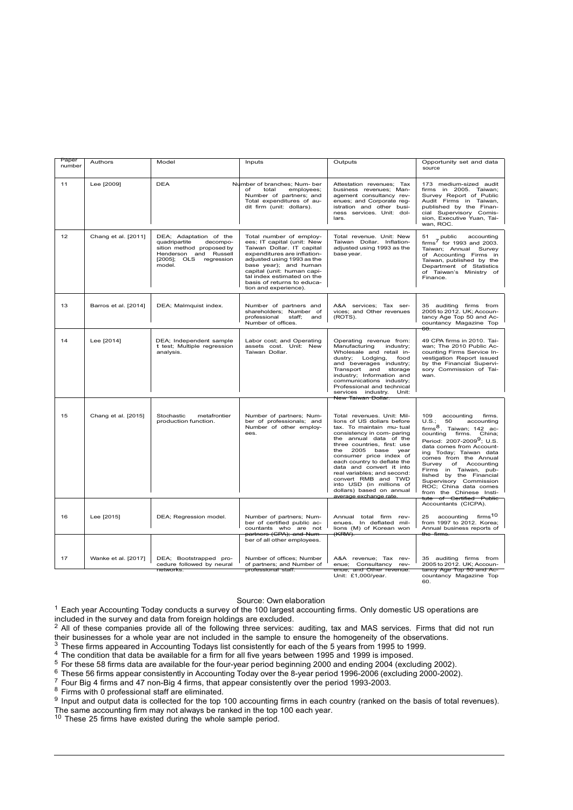| 11<br>Lee [2009]<br><b>DEA</b><br>Number of branches; Num- ber<br>Attestation revenues; Tax<br>173 medium-sized audit<br>total<br>employees;<br>business revenues; Man-<br>firms in 2005. Taiwan;<br>of<br>Number of partners; and<br>agement consultancy rev-<br>Survey Report of Public<br>Audit Firms in Taiwan,<br>Total expenditures of au-<br>enues; and Corporate reg-<br>dit firm (unit: dollars).<br>istration and other busi-<br>published by the Finan-<br>ness services. Unit: dol-<br>cial Supervisory Comis-<br>sion, Executive Yuan, Tai-<br>lars.<br>wan, ROC.<br>12<br>Chang et al. [2011]<br>DEA; Adaptation of the<br>Total number of employ-<br>Total revenue. Unit: New<br>public<br>51<br>ees; IT capital (unit: New<br>Taiwan Dollar, Inflation-<br>quadripartite<br>decompo-<br>$firms7$ for 1993 and 2003.<br>sition method proposed by<br>Taiwan Dollar, IT capital<br>adjusted using 1993 as the<br>Taiwan; Annual Survey<br>Henderson and Russell<br>expenditures are inflation-<br>base year.<br>of Accounting Firms in<br>[2005]; OLS regression<br>adjusted using 1993 as the<br>Taiwan, published by the<br>model.<br>base year); and human<br>Department of Statistics<br>capital (unit: human capi-<br>of Taiwan's Ministry of<br>tal index estimated on the<br>Finance.<br>basis of returns to educa-<br>tion and experience).<br>13<br>Barros et al. [2014]<br>DEA; Malmquist index.<br>Number of partners and<br>A&A services; Tax ser-<br>35 auditing firms from<br>shareholders; Number of<br>vices; and Other revenues<br>2005 to 2012. UK; Accoun-<br>professional<br>staff; and<br>(ROTS).<br>tancy Age Top 50 and Ac-<br>Number of offices.<br>countancy Magazine Top<br>60.<br>49 CPA firms in 2010. Tai-<br>14<br>Lee [2014]<br>DEA; Independent sample<br>Labor cost; and Operating<br>Operating revenue from:<br>t test; Multiple regression<br>assets cost. Unit: New<br>Manufacturing<br>industry;<br>wan; The 2010 Public Ac-<br>Wholesale and retail in-<br>counting Firms Service In-<br>analysis.<br>Taiwan Dollar.<br>vestigation Report issued<br>dustry; Lodging,<br>food<br>by the Financial Supervi-<br>and beverages industry;<br>sory Commission of Tai-<br>Transport and storage<br>industry; Information and<br>wan.<br>communications industry;<br>Professional and technical<br>services industry. Unit:<br><del>New Taiwan Dollar.</del> |                                    |
|-----------------------------------------------------------------------------------------------------------------------------------------------------------------------------------------------------------------------------------------------------------------------------------------------------------------------------------------------------------------------------------------------------------------------------------------------------------------------------------------------------------------------------------------------------------------------------------------------------------------------------------------------------------------------------------------------------------------------------------------------------------------------------------------------------------------------------------------------------------------------------------------------------------------------------------------------------------------------------------------------------------------------------------------------------------------------------------------------------------------------------------------------------------------------------------------------------------------------------------------------------------------------------------------------------------------------------------------------------------------------------------------------------------------------------------------------------------------------------------------------------------------------------------------------------------------------------------------------------------------------------------------------------------------------------------------------------------------------------------------------------------------------------------------------------------------------------------------------------------------------------------------------------------------------------------------------------------------------------------------------------------------------------------------------------------------------------------------------------------------------------------------------------------------------------------------------------------------------------------------------------------------------------------------------------------------------------------------------------------------------------------------------------------|------------------------------------|
|                                                                                                                                                                                                                                                                                                                                                                                                                                                                                                                                                                                                                                                                                                                                                                                                                                                                                                                                                                                                                                                                                                                                                                                                                                                                                                                                                                                                                                                                                                                                                                                                                                                                                                                                                                                                                                                                                                                                                                                                                                                                                                                                                                                                                                                                                                                                                                                                           |                                    |
|                                                                                                                                                                                                                                                                                                                                                                                                                                                                                                                                                                                                                                                                                                                                                                                                                                                                                                                                                                                                                                                                                                                                                                                                                                                                                                                                                                                                                                                                                                                                                                                                                                                                                                                                                                                                                                                                                                                                                                                                                                                                                                                                                                                                                                                                                                                                                                                                           | accounting                         |
|                                                                                                                                                                                                                                                                                                                                                                                                                                                                                                                                                                                                                                                                                                                                                                                                                                                                                                                                                                                                                                                                                                                                                                                                                                                                                                                                                                                                                                                                                                                                                                                                                                                                                                                                                                                                                                                                                                                                                                                                                                                                                                                                                                                                                                                                                                                                                                                                           |                                    |
|                                                                                                                                                                                                                                                                                                                                                                                                                                                                                                                                                                                                                                                                                                                                                                                                                                                                                                                                                                                                                                                                                                                                                                                                                                                                                                                                                                                                                                                                                                                                                                                                                                                                                                                                                                                                                                                                                                                                                                                                                                                                                                                                                                                                                                                                                                                                                                                                           |                                    |
| Chang et al. [2015]<br>Total revenues. Unit: Mil-<br>15<br>Stochastic<br>metafrontier<br>Number of partners; Num-<br>109<br>accounting<br>ber of professionals; and<br>lions of US dollars before<br>production function.<br>U.S.:<br>50<br>Number of other employ-<br>firms <sup>8</sup> . Taiwan: 142 ac-<br>tax. To maintain mu-tual<br>ees.<br>consistency in com- paring<br>counting firms. China;<br>the annual data of the<br>Period: 2007-2009 <sup>9</sup> ; U.S.<br>three countries, first: use<br>data comes from Account-<br>2005 base year<br>the<br>ing Today; Taiwan data<br>consumer price index of<br>comes from the Annual<br>each country to deflate the<br>Survey<br>of<br>data and convert it into<br>Firms in Taiwan, pub-<br>real variables: and second:<br>lished by the Financial<br>convert RMB and TWD<br>Supervisory Commission<br>into USD (in millions of<br>ROC; China data comes<br>dollars) based on annual<br>from the Chinese Insti-<br>average exchange rate.<br><del>tute of Certified Public</del>                                                                                                                                                                                                                                                                                                                                                                                                                                                                                                                                                                                                                                                                                                                                                                                                                                                                                                                                                                                                                                                                                                                                                                                                                                                                                                                                                                  | firms.<br>accounting<br>Accounting |
| Accountants (CICPA).<br>accounting firms <sup>10</sup><br>16<br>Lee [2015]<br>DEA; Regression model.<br>Number of partners; Num-<br>Annual total firm rev-<br>25<br>ber of certified public ac-<br>enues. In deflated mil-<br>from 1997 to 2012. Korea;<br>lions (M) of Korean won<br>Annual business reports of<br>countants who are not<br><del>partners (CPA); and Num-</del><br>(KRW).<br>the firms.                                                                                                                                                                                                                                                                                                                                                                                                                                                                                                                                                                                                                                                                                                                                                                                                                                                                                                                                                                                                                                                                                                                                                                                                                                                                                                                                                                                                                                                                                                                                                                                                                                                                                                                                                                                                                                                                                                                                                                                                  |                                    |
| ber of all other employees.                                                                                                                                                                                                                                                                                                                                                                                                                                                                                                                                                                                                                                                                                                                                                                                                                                                                                                                                                                                                                                                                                                                                                                                                                                                                                                                                                                                                                                                                                                                                                                                                                                                                                                                                                                                                                                                                                                                                                                                                                                                                                                                                                                                                                                                                                                                                                                               |                                    |
| 17<br>Wanke et al. [2017]<br>DEA; Bootstrapped pro-<br>Number of offices; Number<br>35 auditing firms from<br>A&A revenue; Tax rev-<br>cedure followed by neural<br>of partners; and Number of<br>enue; Consultancy rev-<br>2005 to 2012. UK; Accoun-<br><del>enue; and Other revenue.</del><br>professional staff.<br>tancy Age Top 50 and Ac-<br>networks.                                                                                                                                                                                                                                                                                                                                                                                                                                                                                                                                                                                                                                                                                                                                                                                                                                                                                                                                                                                                                                                                                                                                                                                                                                                                                                                                                                                                                                                                                                                                                                                                                                                                                                                                                                                                                                                                                                                                                                                                                                              |                                    |

Source: Own elaboration

 $1$  Each year Accounting Today conducts a survey of the 100 largest accounting firms. Only domestic US operations are included in the survey and data from foreign holdings are excluded.

2 All of these companies provide all of the following three services: auditing, tax and MAS services. Firms that did not run their businesses for a whole year are not included in the sample to ensure the homogeneity of the observations.

<sup>3</sup> These firms appeared in Accounting Todays list consistently for each of the 5 years from 1995 to 1999.

<sup>4</sup> The condition that data be available for a firm for all five years between 1995 and 1999 is imposed.

<sup>5</sup> For these 58 firms data are available for the four-year period beginning 2000 and ending 2004 (excluding 2002).

<sup>6</sup> These 56 firms appear consistently in Accounting Today over the 8-year period 1996-2006 (excluding 2000-2002).

<sup>7</sup> Four Big 4 firms and 47 non-Big 4 firms, that appear consistently over the period 1993-2003.

<sup>8</sup> Firms with 0 professional staff are eliminated.

9 Input and output data is collected for the top 100 accounting firms in each country (ranked on the basis of total revenues). The same accounting firm may not always be ranked in the top 100 each year.<br><sup>10</sup> These 25 firms have existed during the whole sample period.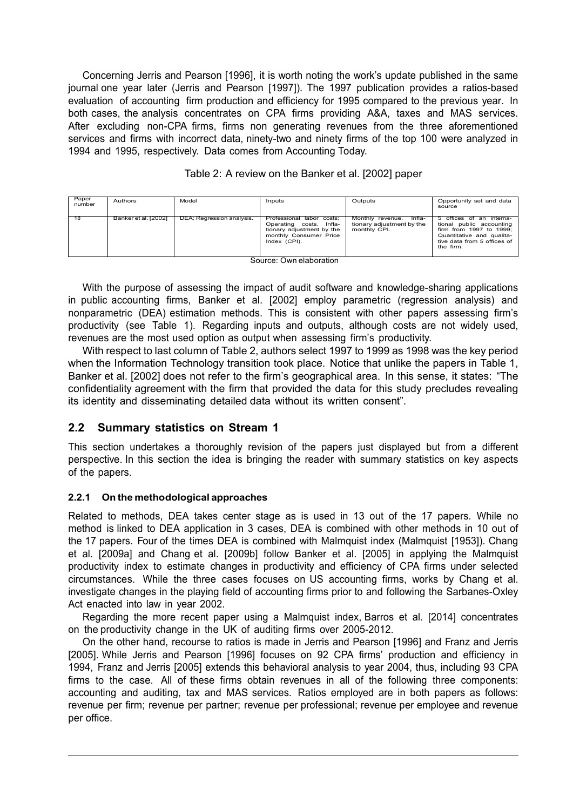Concerning Jerris and Pearson [1996], it is worth noting the work's update published in the same journal one year later (Jerris and Pearson [1997]). The 1997 publication provides a ratios-based evaluation of accounting firm production and efficiency for 1995 compared to the previous year. In both cases, the analysis concentrates on CPA firms providing A&A, taxes and MAS services. After excluding non-CPA firms, firms non generating revenues from the three aforementioned services and firms with incorrect data, ninety-two and ninety firms of the top 100 were analyzed in 1994 and 1995, respectively. Data comes from Accounting Today.

| Paper<br>number | Authors                | Model                     | Inputs                                                                                                                      | Outputs                                                                 | Opportunity set and data<br>source                                                                                                                       |
|-----------------|------------------------|---------------------------|-----------------------------------------------------------------------------------------------------------------------------|-------------------------------------------------------------------------|----------------------------------------------------------------------------------------------------------------------------------------------------------|
| 18              | Banker et al. [2002]   | DEA; Regression analysis. | Professional labor costs:<br>Operating costs. Infla-<br>tionary adjustment by the<br>monthly Consumer Price<br>Index (CPI). | Monthly revenue.<br>Infla-<br>tionary adjustment by the<br>monthly CPI. | 5 offices of an interna-<br>tional public accounting<br>firm from 1997 to 1999:<br>Quantitative and qualita-<br>tive data from 5 offices of<br>the firm. |
|                 | Course Our sloboration |                           |                                                                                                                             |                                                                         |                                                                                                                                                          |

Source: Own elaboration

With the purpose of assessing the impact of audit software and knowledge-sharing applications in public accounting firms, Banker et al. [2002] employ parametric (regression analysis) and nonparametric (DEA) estimation methods. This is consistent with other papers assessing firm's productivity (see Table 1). Regarding inputs and outputs, although costs are not widely used, revenues are the most used option as output when assessing firm's productivity.

With respect to last column of Table 2, authors select 1997 to 1999 as 1998 was the key period when the Information Technology transition took place. Notice that unlike the papers in Table 1, Banker et al. [2002] does not refer to the firm's geographical area. In this sense, it states: "The confidentiality agreement with the firm that provided the data for this study precludes revealing its identity and disseminating detailed data without its written consent".

## **2.2 Summary statistics on Stream 1**

This section undertakes a thoroughly revision of the papers just displayed but from a different perspective. In this section the idea is bringing the reader with summary statistics on key aspects of the papers.

### **2.2.1 On the methodological approaches**

Related to methods, DEA takes center stage as is used in 13 out of the 17 papers. While no method is linked to DEA application in 3 cases, DEA is combined with other methods in 10 out of the 17 papers. Four of the times DEA is combined with Malmquist index (Malmquist [1953]). Chang et al. [2009a] and Chang et al. [2009b] follow Banker et al. [2005] in applying the Malmquist productivity index to estimate changes in productivity and efficiency of CPA firms under selected circumstances. While the three cases focuses on US accounting firms, works by Chang et al. investigate changes in the playing field of accounting firms prior to and following the Sarbanes-Oxley Act enacted into law in year 2002.

Regarding the more recent paper using a Malmquist index, Barros et al. [2014] concentrates on the productivity change in the UK of auditing firms over 2005-2012.

On the other hand, recourse to ratios is made in Jerris and Pearson [1996] and Franz and Jerris [2005]. While Jerris and Pearson [1996] focuses on 92 CPA firms' production and efficiency in 1994, Franz and Jerris [2005] extends this behavioral analysis to year 2004, thus, including 93 CPA firms to the case. All of these firms obtain revenues in all of the following three components: accounting and auditing, tax and MAS services. Ratios employed are in both papers as follows: revenue per firm; revenue per partner; revenue per professional; revenue per employee and revenue per office.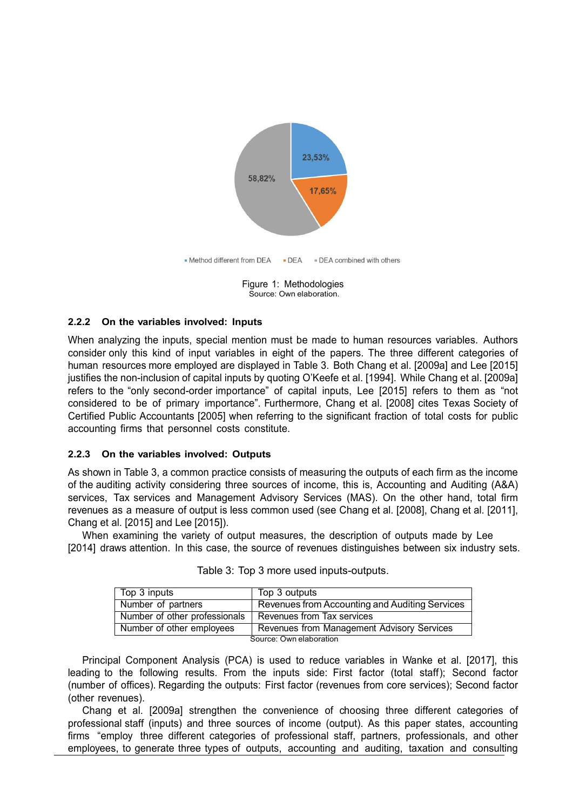

Figure 1: Methodologies Source: Own elaboration.

#### **2.2.2 On the variables involved: Inputs**

When analyzing the inputs, special mention must be made to human resources variables. Authors consider only this kind of input variables in eight of the papers. The three different categories of human resources more employed are displayed in Table 3. Both Chang et al. [2009a] and Lee [2015] justifies the non-inclusion of capital inputs by quoting O'Keefe et al. [1994]. While Chang et al. [2009a] refers to the "only second-order importance" of capital inputs, Lee [2015] refers to them as "not considered to be of primary importance". Furthermore, Chang et al. [2008] cites Texas Society of Certified Public Accountants [2005] when referring to the significant fraction of total costs for public accounting firms that personnel costs constitute.

#### **2.2.3 On the variables involved: Outputs**

As shown in Table 3, a common practice consists of measuring the outputs of each firm as the income of the auditing activity considering three sources of income, this is, Accounting and Auditing (A&A) services, Tax services and Management Advisory Services (MAS). On the other hand, total firm revenues as a measure of output is less common used (see Chang et al. [2008], Chang et al. [2011], Chang et al. [2015] and Lee [2015]).

When examining the variety of output measures, the description of outputs made by Lee [2014] draws attention. In this case, the source of revenues distinguishes between six industry sets.

| Top 3 inputs                  | Top 3 outputs                                  |  |
|-------------------------------|------------------------------------------------|--|
| Number of partners            | Revenues from Accounting and Auditing Services |  |
| Number of other professionals | Revenues from Tax services                     |  |
| Number of other employees     | Revenues from Management Advisory Services     |  |
| Source: Own elaboration       |                                                |  |

|  | Table 3: Top 3 more used inputs-outputs. |  |  |  |
|--|------------------------------------------|--|--|--|
|--|------------------------------------------|--|--|--|

Principal Component Analysis (PCA) is used to reduce variables in Wanke et al. [2017], this leading to the following results. From the inputs side: First factor (total staff); Second factor (number of offices). Regarding the outputs: First factor (revenues from core services); Second factor (other revenues).

Chang et al. [2009a] strengthen the convenience of choosing three different categories of professional staff (inputs) and three sources of income (output). As this paper states, accounting firms "employ three different categories of professional staff, partners, professionals, and other employees, to generate three types of outputs, accounting and auditing, taxation and consulting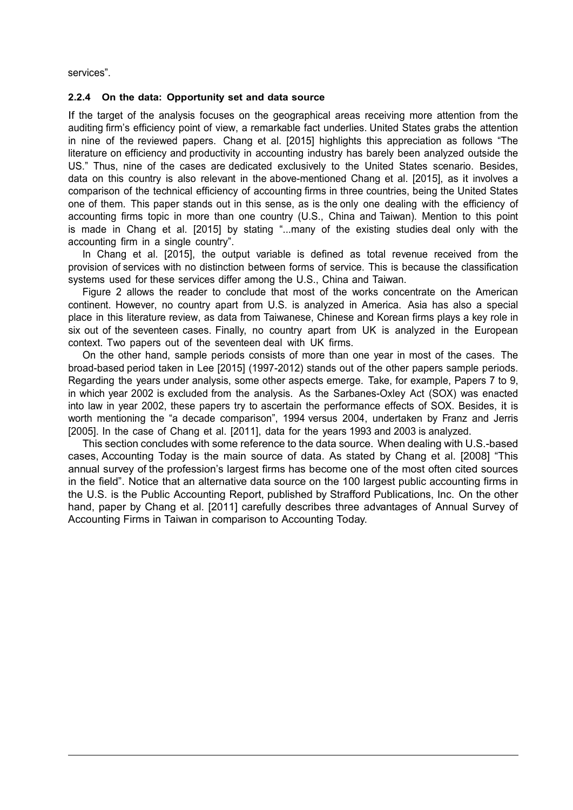services".

#### **2.2.4 On the data: Opportunity set and data source**

If the target of the analysis focuses on the geographical areas receiving more attention from the auditing firm's efficiency point of view, a remarkable fact underlies. United States grabs the attention in nine of the reviewed papers. Chang et al. [2015] highlights this appreciation as follows "The literature on efficiency and productivity in accounting industry has barely been analyzed outside the US." Thus, nine of the cases are dedicated exclusively to the United States scenario. Besides, data on this country is also relevant in the above-mentioned Chang et al. [2015], as it involves a comparison of the technical efficiency of accounting firms in three countries, being the United States one of them. This paper stands out in this sense, as is the only one dealing with the efficiency of accounting firms topic in more than one country (U.S., China and Taiwan). Mention to this point is made in Chang et al. [2015] by stating "...many of the existing studies deal only with the accounting firm in a single country".

In Chang et al. [2015], the output variable is defined as total revenue received from the provision of services with no distinction between forms of service. This is because the classification systems used for these services differ among the U.S., China and Taiwan.

Figure 2 allows the reader to conclude that most of the works concentrate on the American continent. However, no country apart from U.S. is analyzed in America. Asia has also a special place in this literature review, as data from Taiwanese, Chinese and Korean firms plays a key role in six out of the seventeen cases. Finally, no country apart from UK is analyzed in the European context. Two papers out of the seventeen deal with UK firms.

On the other hand, sample periods consists of more than one year in most of the cases. The broad-based period taken in Lee [2015] (1997-2012) stands out of the other papers sample periods. Regarding the years under analysis, some other aspects emerge. Take, for example, Papers 7 to 9, in which year 2002 is excluded from the analysis. As the Sarbanes-Oxley Act (SOX) was enacted into law in year 2002, these papers try to ascertain the performance effects of SOX. Besides, it is worth mentioning the "a decade comparison", 1994 versus 2004, undertaken by Franz and Jerris [2005]. In the case of Chang et al. [2011], data for the years 1993 and 2003 is analyzed.

This section concludes with some reference to the data source. When dealing with U.S.-based cases, Accounting Today is the main source of data. As stated by Chang et al. [2008] "This annual survey of the profession's largest firms has become one of the most often cited sources in the field". Notice that an alternative data source on the 100 largest public accounting firms in the U.S. is the Public Accounting Report, published by Strafford Publications, Inc. On the other hand, paper by Chang et al. [2011] carefully describes three advantages of Annual Survey of Accounting Firms in Taiwan in comparison to Accounting Today.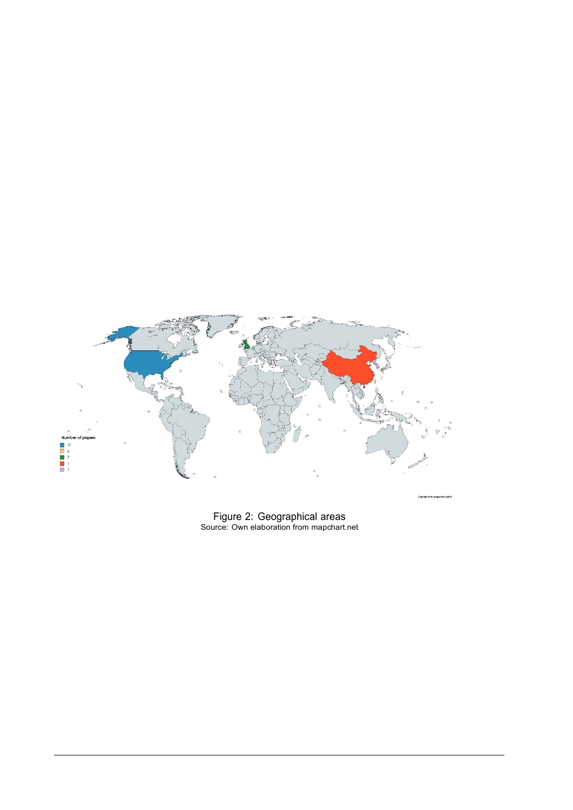

Figure 2: Geographical areas Source: Own elaboration from mapchart.net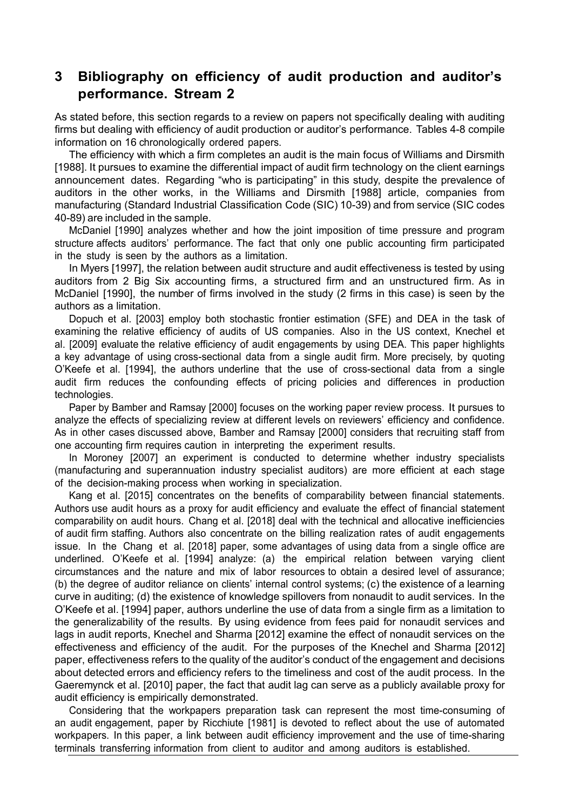## **3 Bibliography on efficiency of audit production and auditor's performance. Stream 2**

As stated before, this section regards to a review on papers not specifically dealing with auditing firms but dealing with efficiency of audit production or auditor's performance. Tables 4-8 compile information on 16 chronologically ordered papers.

The efficiency with which a firm completes an audit is the main focus of Williams and Dirsmith [1988]. It pursues to examine the differential impact of audit firm technology on the client earnings announcement dates. Regarding "who is participating" in this study, despite the prevalence of auditors in the other works, in the Williams and Dirsmith [1988] article, companies from manufacturing (Standard Industrial Classification Code (SIC) 10-39) and from service (SIC codes 40-89) are included in the sample.

McDaniel [1990] analyzes whether and how the joint imposition of time pressure and program structure affects auditors' performance. The fact that only one public accounting firm participated in the study is seen by the authors as a limitation.

In Myers [1997], the relation between audit structure and audit effectiveness is tested by using auditors from 2 Big Six accounting firms, a structured firm and an unstructured firm. As in McDaniel [1990], the number of firms involved in the study (2 firms in this case) is seen by the authors as a limitation.

Dopuch et al. [2003] employ both stochastic frontier estimation (SFE) and DEA in the task of examining the relative efficiency of audits of US companies. Also in the US context, Knechel et al. [2009] evaluate the relative efficiency of audit engagements by using DEA. This paper highlights a key advantage of using cross-sectional data from a single audit firm. More precisely, by quoting O'Keefe et al. [1994], the authors underline that the use of cross-sectional data from a single audit firm reduces the confounding effects of pricing policies and differences in production technologies.

Paper by Bamber and Ramsay [2000] focuses on the working paper review process. It pursues to analyze the effects of specializing review at different levels on reviewers' efficiency and confidence. As in other cases discussed above, Bamber and Ramsay [2000] considers that recruiting staff from one accounting firm requires caution in interpreting the experiment results.

In Moroney [2007] an experiment is conducted to determine whether industry specialists (manufacturing and superannuation industry specialist auditors) are more efficient at each stage of the decision-making process when working in specialization.

Kang et al. [2015] concentrates on the benefits of comparability between financial statements. Authors use audit hours as a proxy for audit efficiency and evaluate the effect of financial statement comparability on audit hours. Chang et al. [2018] deal with the technical and allocative inefficiencies of audit firm staffing. Authors also concentrate on the billing realization rates of audit engagements issue. In the Chang et al. [2018] paper, some advantages of using data from a single office are underlined. O'Keefe et al. [1994] analyze: (a) the empirical relation between varying client circumstances and the nature and mix of labor resources to obtain a desired level of assurance; (b) the degree of auditor reliance on clients' internal control systems; (c) the existence of a learning curve in auditing; (d) the existence of knowledge spillovers from nonaudit to audit services. In the O'Keefe et al. [1994] paper, authors underline the use of data from a single firm as a limitation to the generalizability of the results. By using evidence from fees paid for nonaudit services and lags in audit reports, Knechel and Sharma [2012] examine the effect of nonaudit services on the effectiveness and efficiency of the audit. For the purposes of the Knechel and Sharma [2012] paper, effectiveness refers to the quality of the auditor's conduct of the engagement and decisions about detected errors and efficiency refers to the timeliness and cost of the audit process. In the Gaeremynck et al. [2010] paper, the fact that audit lag can serve as a publicly available proxy for audit efficiency is empirically demonstrated.

Considering that the workpapers preparation task can represent the most time-consuming of an audit engagement, paper by Ricchiute [1981] is devoted to reflect about the use of automated workpapers. In this paper, a link between audit efficiency improvement and the use of time-sharing terminals transferring information from client to auditor and among auditors is established.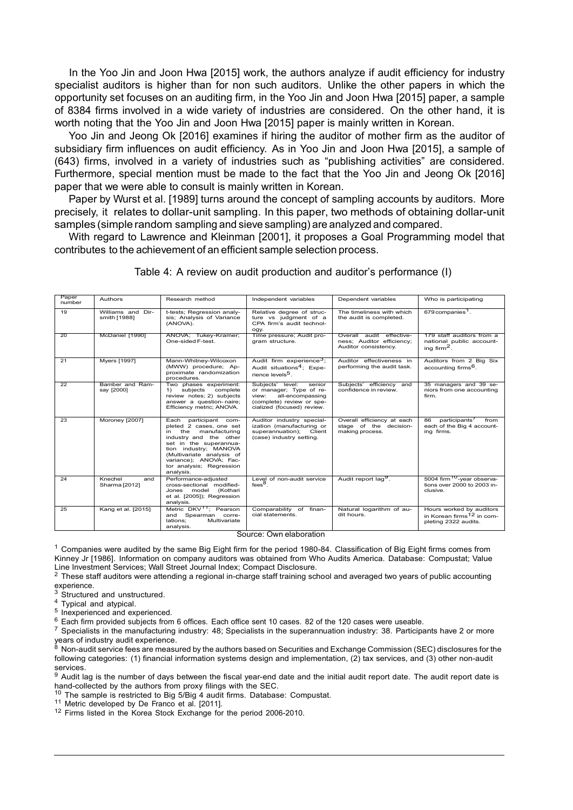In the Yoo Jin and Joon Hwa [2015] work, the authors analyze if audit efficiency for industry specialist auditors is higher than for non such auditors. Unlike the other papers in which the opportunity set focuses on an auditing firm, in the Yoo Jin and Joon Hwa [2015] paper, a sample of 8384 firms involved in a wide variety of industries are considered. On the other hand, it is worth noting that the Yoo Jin and Joon Hwa [2015] paper is mainly written in Korean.

Yoo Jin and Jeong Ok [2016] examines if hiring the auditor of mother firm as the auditor of subsidiary firm influences on audit efficiency. As in Yoo Jin and Joon Hwa [2015], a sample of (643) firms, involved in a variety of industries such as "publishing activities" are considered. Furthermore, special mention must be made to the fact that the Yoo Jin and Jeong Ok [2016] paper that we were able to consult is mainly written in Korean.

Paper by Wurst et al. [1989] turns around the concept of sampling accounts by auditors. More precisely, it relates to dollar-unit sampling. In this paper, two methods of obtaining dollar-unit samples (simplerandom sampling and sieve sampling) are analyzed and compared.

With regard to Lawrence and Kleinman [2001], it proposes a Goal Programming model that contributes to the achievement of an efficient sample selection process.

| Paper<br>number | Authors                           | Research method                                                                                                                                                                                                                                             | Independent variables                                                                                                                         | Dependent variables                                                           | Who is participating                                                                      |
|-----------------|-----------------------------------|-------------------------------------------------------------------------------------------------------------------------------------------------------------------------------------------------------------------------------------------------------------|-----------------------------------------------------------------------------------------------------------------------------------------------|-------------------------------------------------------------------------------|-------------------------------------------------------------------------------------------|
| 19              | Williams and Dir-<br>smith [1988] | t-tests; Regression analy-<br>sis; Analysis of Variance<br>(ANOVA).                                                                                                                                                                                         | Relative degree of struc-<br>ture vs judgment of a<br>CPA firm's audit technol-<br>ogy.                                                       | The timeliness with which<br>the audit is completed.                          | 679 companies <sup>1</sup> .                                                              |
| 20              | McDaniel [1990]                   | ANOVA; Tukey-Kramer;<br>One-sided F-test.                                                                                                                                                                                                                   | Time pressure; Audit pro-<br>gram structure.                                                                                                  | Overall audit effective-<br>ness; Auditor efficiency;<br>Auditor consistency. | 179 staff auditors from a<br>national public account-<br>ing firm <sup>2</sup> .          |
| 21              | <b>Myers [1997]</b>               | Mann-Whitney-Wilcoxon<br>(MWW) procedure; Ap-<br>proximate randomization<br>procedures.                                                                                                                                                                     | Audit firm experience <sup>3</sup> ;<br>Audit situations <sup>4</sup> ; Expe-<br>rience levels <sup>5</sup> .                                 | Auditor effectiveness in<br>performing the audit task.                        | Auditors from 2 Big Six<br>accounting firms <sup>6</sup> .                                |
| 22              | Bamber and Ram-<br>say [2000]     | Two phases experiment:<br>subjects<br>complete<br>1)<br>review notes; 2) subjects<br>answer a question-naire;<br>Efficiency metric; ANOVA.                                                                                                                  | Subjects' level:<br>senior<br>or manager; Type of re-<br>all-encompassing<br>view:<br>(complete) review or spe-<br>cialized (focused) review. | Subjects' efficiency and<br>confidence in review.                             | 35 managers and 39 se-<br>niors from one accounting<br>firm.                              |
| 23              | Moroney [2007]                    | participant com-<br>Each<br>pleted 2 cases, one set<br>in the<br>manufacturing<br>industry and the other<br>set in the superannua-<br>tion industry; MANOVA<br>(Multivariate analysis of<br>variance); ANOVA; Fac-<br>tor analysis; Regression<br>analysis. | Auditor industry special-<br>ization (manufacturing or<br>superannuation); Client<br>(case) industry setting.                                 | Overall efficiency at each<br>stage of the decision-<br>making process.       | participants <sup>/</sup><br>86<br>from<br>each of the Big 4 account-<br>ing firms.       |
| 24              | Knechel<br>and<br>Sharma [2012]   | Performance-adiusted<br>cross-sectional modified-<br>Jones model (Kothari<br>et al. [2005]); Regression<br>analysis.                                                                                                                                        | Level of non-audit service<br>$fees8$ .                                                                                                       | Audit report lag <sup>9</sup> .                                               | 5004 firm <sup>10</sup> -vear observa-<br>tions over 2000 to 2003 in-<br>clusive.         |
| 25              | Kang et al. [2015]                | Metric DKV <sup>11</sup> ; Pearson<br>and Spearman corre-<br>Multivariate<br>lations:<br>analysis.                                                                                                                                                          | Comparability of finan-<br>cial statements.                                                                                                   | Natural logarithm of au-<br>dit hours.                                        | Hours worked by auditors<br>in Korean firms <sup>12</sup> in com-<br>pleting 2322 audits. |

Table 4: A review on audit production and auditor's performance (I)

Source: Own elaboration

<sup>1</sup> Companies were audited by the same Big Eight firm for the period 1980-84. Classification of Big Eight firms comes from Kinney Jr [1986]. Information on company auditors was obtained from Who Audits America. Database: Compustat; Value Line Investment Services; Wall Street Journal Index; Compact Disclosure.

<sup>2</sup> These staff auditors were attending a regional in-charge staff training school and averaged two years of public accounting experience.

<sup>3</sup> Structured and unstructured.

<sup>4</sup> Typical and atypical.

5 Inexperienced and experienced.

 $6$  Each firm provided subjects from 6 offices. Each office sent 10 cases. 82 of the 120 cases were useable.

<sup>7</sup> Specialists in the manufacturing industry: 48; Specialists in the superannuation industry: 38. Participants have 2 or more years of industry audit experience.

 $^8$  Non-audit service fees are measured by the authors based on Securities and Exchange Commission (SEC) disclosures for the following categories: (1) financial information systems design and implementation, (2) tax services, and (3) other non-audit services.

9 Audit lag is the number of days between the fiscal year-end date and the initial audit report date. The audit report date is hand-collected by the authors from proxy filings with the SEC.

 $10$  The sample is restricted to Big 5/Big 4 audit firms. Database: Compustat.

<sup>11</sup> Metric developed by De Franco et al. [2011].

<sup>12</sup> Firms listed in the Korea Stock Exchange for the period 2006-2010.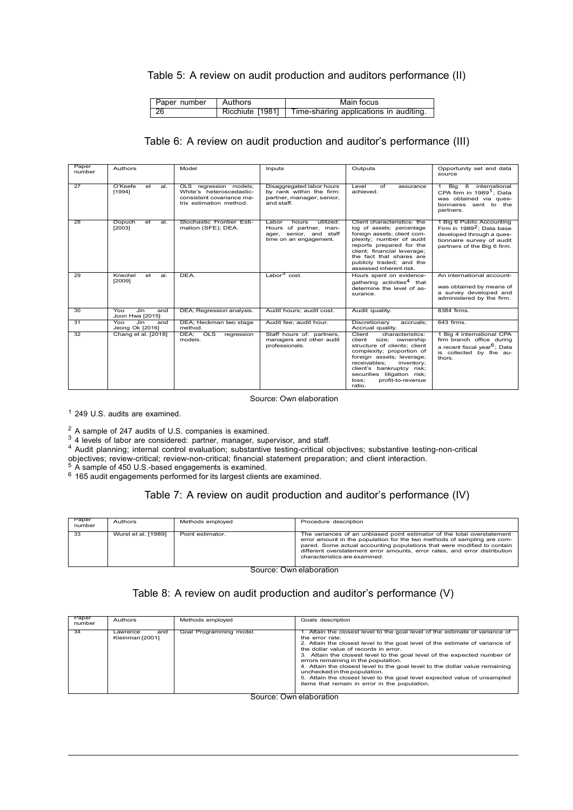#### Table 5: A review on audit production and auditors performance (II)

| Paper number | ∣ Authors | Main focus                                              |
|--------------|-----------|---------------------------------------------------------|
| -26          |           | Ricchiute [1981] Time-sharing applications in auditing. |

### Table 6: A review on audit production and auditor's performance (III)

| Paper<br>number | Authors                              | Model                                                                                                      | Inputs                                                                                                     | Outputs                                                                                                                                                                                                                                                                             | Opportunity set and data<br>source                                                                                                                          |
|-----------------|--------------------------------------|------------------------------------------------------------------------------------------------------------|------------------------------------------------------------------------------------------------------------|-------------------------------------------------------------------------------------------------------------------------------------------------------------------------------------------------------------------------------------------------------------------------------------|-------------------------------------------------------------------------------------------------------------------------------------------------------------|
| 27              | O'Keefe<br>et<br>al.<br>[1994]       | OLS regression models;<br>White's heteroscedastic-<br>consistent covariance ma-<br>trix estimation method. | Disaggregated labor hours<br>by rank within the firm:<br>partner, manager, senior,<br>and staff.           | Level<br>of<br>assurance<br>achieved.                                                                                                                                                                                                                                               | Big<br>6<br>international<br>CPA firm in 1989 <sup>1</sup> : Data<br>was obtained via ques-<br>tionnaires sent to the<br>partners.                          |
| 28              | Dopuch<br>et<br>al.<br>[2003]        | Stochastic Frontier Esti-<br>mation (SFE); DEA.                                                            | utilized:<br>Labor<br>hours<br>Hours of partner, man-<br>ager, senior, and staff<br>time on an engagement. | Client characteristics: the<br>log of assets; percentage<br>foreign assets; client com-<br>plexity; number of audit<br>reports prepared for the<br>client; financial leverage;<br>the fact that shares are<br>publicly traded; and the<br>assessed inherent risk.                   | 1 Big 6 Public Accounting<br>Firm in 1989 <sup>2</sup> ; Data base<br>developed through a ques-<br>tionnaire survey of audit<br>partners of the Big 6 firm. |
| 29              | Knechel<br>et<br>al.<br>[2009]       | DEA.                                                                                                       | Labor $3$ cost.                                                                                            | Hours spent on evidence-<br>gathering activities <sup>4</sup> that<br>determine the level of as-<br>surance.                                                                                                                                                                        | An international account-<br>was obtained by means of<br>a survey developed and<br>administered by the firm.                                                |
| 30              | Jin<br>Yoo<br>and<br>Joon Hwa [2015] | DEA; Regression analysis.                                                                                  | Audit hours; audit cost.                                                                                   | Audit quality.                                                                                                                                                                                                                                                                      | 8384 firms.                                                                                                                                                 |
| 31              | Jin<br>Yoo<br>and<br>Jeong Ok [2016] | DEA; Heckman two stage<br>method.                                                                          | Audit fee: audit hour.                                                                                     | Discretionary<br>accruals:<br>Accrual quality.                                                                                                                                                                                                                                      | 643 firms.                                                                                                                                                  |
| 32              | Chang et al. [2018]                  | DEA:<br>$_{\text{OLS}}$<br>regression<br>models.                                                           | Staff hours of: partners,<br>managers and other audit<br>professionals.                                    | characteristics:<br>Client<br>client<br>size; ownership<br>structure of clients; client<br>complexity; proportion of<br>foreign assets; leverage;<br>receivables:<br>inventory;<br>client's bankruptcy risk;<br>securities litigation risk;<br>loss:<br>profit-to-revenue<br>ratio. | 1 Big 4 international CPA<br>firm branch office during<br>a recent fiscal year <sup>6</sup> ; Data<br>is collected by the au-<br>thors.                     |

Source: Own elaboration

<sup>1</sup> 249 U.S. audits are examined.

<sup>2</sup> A sample of 247 audits of U.S. companies is examined.

<sup>3</sup> 4 levels of labor are considered: partner, manager, supervisor, and staff.

<sup>4</sup> Audit planning; internal control evaluation; substantive testing-critical objectives; substantive testing-non-critical

objectives; review-critical; review-non-critical; financial statement preparation; and client interaction.

 $5\,$  A sample of 450 U.S.-based engagements is examined.

 $6$  165 audit engagements performed for its largest clients are examined.

#### Table 7: A review on audit production and auditor's performance (IV)

| Paper<br>number | Authors             | Methods employed | Procedure description                                                                                                                                                                                                                                                                                                                        |
|-----------------|---------------------|------------------|----------------------------------------------------------------------------------------------------------------------------------------------------------------------------------------------------------------------------------------------------------------------------------------------------------------------------------------------|
| 33              | Wurst et al. [1989] | Point estimator. | The variances of an unbiased point estimator of the total overstatement<br>error amount in the population for the two methods of sampling are com-<br>pared. Some actual accounting populations that were modified to contain<br>different overstatement error amounts, error rates, and error distribution<br>characteristics are examined. |

Source: Own elaboration

### Table 8: A review on audit production and auditor's performance (V)

| Paper<br>number | Authors                            | Methods employed                  | Goals description                                                                                                                                                                                                                                                                                                                                                                                                                                                                                                                                                                            |
|-----------------|------------------------------------|-----------------------------------|----------------------------------------------------------------------------------------------------------------------------------------------------------------------------------------------------------------------------------------------------------------------------------------------------------------------------------------------------------------------------------------------------------------------------------------------------------------------------------------------------------------------------------------------------------------------------------------------|
| 34              | and<br>Lawrence<br>Kleinman [2001] | Goal Programming model.<br>$\sim$ | 1. Attain the closest level to the goal level of the estimate of variance of<br>the error rate.<br>2. Attain the closest level to the goal level of the estimate of variance of<br>the dollar value of records in error.<br>3. Attain the closest level to the goal level of the expected number of<br>errors remaining in the population.<br>4. Attain the closest level to the goal level to the dollar value remaining<br>unchecked in the population.<br>5. Attain the closest level to the goal level expected value of unsampled<br>items that remain in error in the population.<br>. |

#### Source: Own elaboration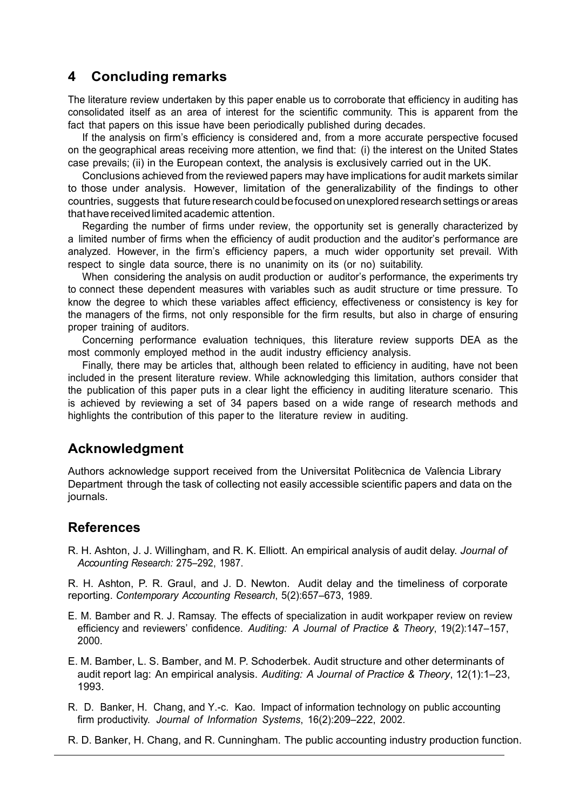## **4 Concluding remarks**

The literature review undertaken by this paper enable us to corroborate that efficiency in auditing has consolidated itself as an area of interest for the scientific community. This is apparent from the fact that papers on this issue have been periodically published during decades.

If the analysis on firm's efficiency is considered and, from a more accurate perspective focused on the geographical areas receiving more attention, we find that: (i) the interest on the United States case prevails; (ii) in the European context, the analysis is exclusively carried out in the UK.

Conclusions achieved from the reviewed papers may have implications for audit markets similar to those under analysis. However, limitation of the generalizability of the findings to other countries, suggests that future research could be focused on unexplored research settings or areas that have received limited academic attention.

Regarding the number of firms under review, the opportunity set is generally characterized by a limited number of firms when the efficiency of audit production and the auditor's performance are analyzed. However, in the firm's efficiency papers, a much wider opportunity set prevail. With respect to single data source, there is no unanimity on its (or no) suitability.

When considering the analysis on audit production or auditor's performance, the experiments try to connect these dependent measures with variables such as audit structure or time pressure. To know the degree to which these variables affect efficiency, effectiveness or consistency is key for the managers of the firms, not only responsible for the firm results, but also in charge of ensuring proper training of auditors.

Concerning performance evaluation techniques, this literature review supports DEA as the most commonly employed method in the audit industry efficiency analysis.

Finally, there may be articles that, although been related to efficiency in auditing, have not been included in the present literature review. While acknowledging this limitation, authors consider that the publication of this paper puts in a clear light the efficiency in auditing literature scenario. This is achieved by reviewing a set of 34 papers based on a wide range of research methods and highlights the contribution of this paper to the literature review in auditing.

## **Acknowledgment**

Authors acknowledge support received from the Universitat Politecnica de València Library Department through the task of collecting not easily accessible scientific papers and data on the journals.

## **References**

R. H. Ashton, J. J. Willingham, and R. K. Elliott. An empirical analysis of audit delay. *Journal of Accounting Research:* 275–292, 1987.

R. H. Ashton, P. R. Graul, and J. D. Newton. Audit delay and the timeliness of corporate reporting. *Contemporary Accounting Research*, 5(2):657–673, 1989.

- E. M. Bamber and R. J. Ramsay. The effects of specialization in audit workpaper review on review efficiency and reviewers' confidence. *Auditing: A Journal of Practice & Theory*, 19(2):147–157, 2000.
- E. M. Bamber, L. S. Bamber, and M. P. Schoderbek. Audit structure and other determinants of audit report lag: An empirical analysis. *Auditing: A Journal of Practice & Theory*, 12(1):1–23, 1993.
- R. D. Banker, H. Chang, and Y.-c. Kao. Impact of information technology on public accounting firm productivity. *Journal of Information Systems*, 16(2):209–222, 2002.
- R. D. Banker, H. Chang, and R. Cunningham. The public accounting industry production function.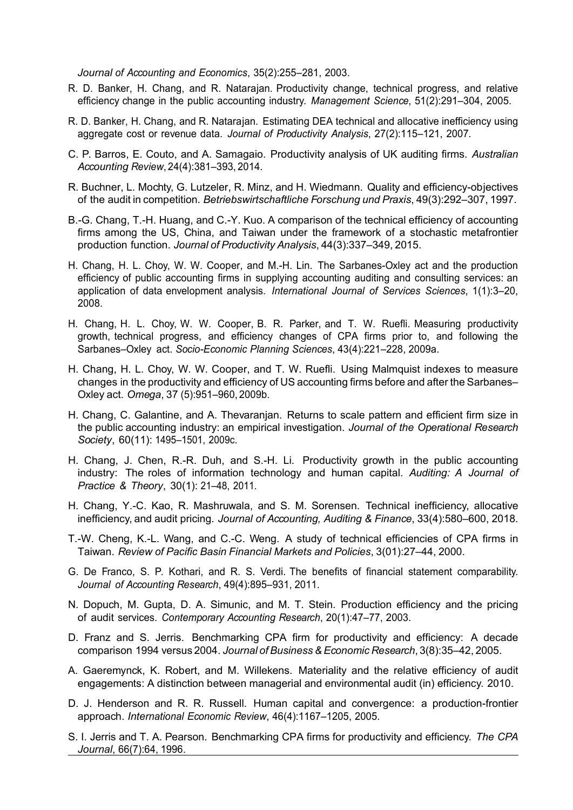*Journal of Accounting and Economics*, 35(2):255–281, 2003.

- R. D. Banker, H. Chang, and R. Natarajan. Productivity change, technical progress, and relative efficiency change in the public accounting industry. *Management Science*, 51(2):291–304, 2005.
- R. D. Banker, H. Chang, and R. Natarajan. Estimating DEA technical and allocative inefficiency using aggregate cost or revenue data. *Journal of Productivity Analysis*, 27(2):115–121, 2007.
- C. P. Barros, E. Couto, and A. Samagaio. Productivity analysis of UK auditing firms. *Australian Accounting Review*, 24(4):381–393, 2014.
- R. Buchner, L. Mochty, G. Lutzeler, R. Minz, and H. Wiedmann. Quality and efficiency-objectives of the audit in competition. *Betriebswirtschaftliche Forschung und Praxis*, 49(3):292–307, 1997.
- B.-G. Chang, T.-H. Huang, and C.-Y. Kuo. A comparison of the technical efficiency of accounting firms among the US, China, and Taiwan under the framework of a stochastic metafrontier production function. *Journal of Productivity Analysis*, 44(3):337–349, 2015.
- H. Chang, H. L. Choy, W. W. Cooper, and M.-H. Lin. The Sarbanes-Oxley act and the production efficiency of public accounting firms in supplying accounting auditing and consulting services: an application of data envelopment analysis. *International Journal of Services Sciences*, 1(1):3–20, 2008.
- H. Chang, H. L. Choy, W. W. Cooper, B. R. Parker, and T. W. Ruefli. Measuring productivity growth, technical progress, and efficiency changes of CPA firms prior to, and following the Sarbanes–Oxley act. *Socio-Economic Planning Sciences*, 43(4):221–228, 2009a.
- H. Chang, H. L. Choy, W. W. Cooper, and T. W. Ruefli. Using Malmquist indexes to measure changes in the productivity and efficiency of US accounting firms before and after the Sarbanes– Oxley act. *Omega*, 37 (5):951–960, 2009b.
- H. Chang, C. Galantine, and A. Thevaranjan. Returns to scale pattern and efficient firm size in the public accounting industry: an empirical investigation. *Journal of the Operational Research Society*, 60(11): 1495–1501, 2009c.
- H. Chang, J. Chen, R.-R. Duh, and S.-H. Li. Productivity growth in the public accounting industry: The roles of information technology and human capital. *Auditing: A Journal of Practice & Theory*, 30(1): 21–48, 2011.
- H. Chang, Y.-C. Kao, R. Mashruwala, and S. M. Sorensen. Technical inefficiency, allocative inefficiency, and audit pricing. *Journal of Accounting, Auditing & Finance*, 33(4):580–600, 2018.
- T.-W. Cheng, K.-L. Wang, and C.-C. Weng. A study of technical efficiencies of CPA firms in Taiwan. *Review of Pacific Basin Financial Markets and Policies*, 3(01):27–44, 2000.
- G. De Franco, S. P. Kothari, and R. S. Verdi. The benefits of financial statement comparability. *Journal of Accounting Research*, 49(4):895–931, 2011.
- N. Dopuch, M. Gupta, D. A. Simunic, and M. T. Stein. Production efficiency and the pricing of audit services. *Contemporary Accounting Research*, 20(1):47–77, 2003.
- D. Franz and S. Jerris. Benchmarking CPA firm for productivity and efficiency: A decade comparison 1994 versus 2004. *Journal of Business & Economic Research*, 3(8):35–42, 2005.
- A. Gaeremynck, K. Robert, and M. Willekens. Materiality and the relative efficiency of audit engagements: A distinction between managerial and environmental audit (in) efficiency. 2010.
- D. J. Henderson and R. R. Russell. Human capital and convergence: a production-frontier approach. *International Economic Review*, 46(4):1167–1205, 2005.
- S. I. Jerris and T. A. Pearson. Benchmarking CPA firms for productivity and efficiency. *The CPA Journal*, 66(7):64, 1996.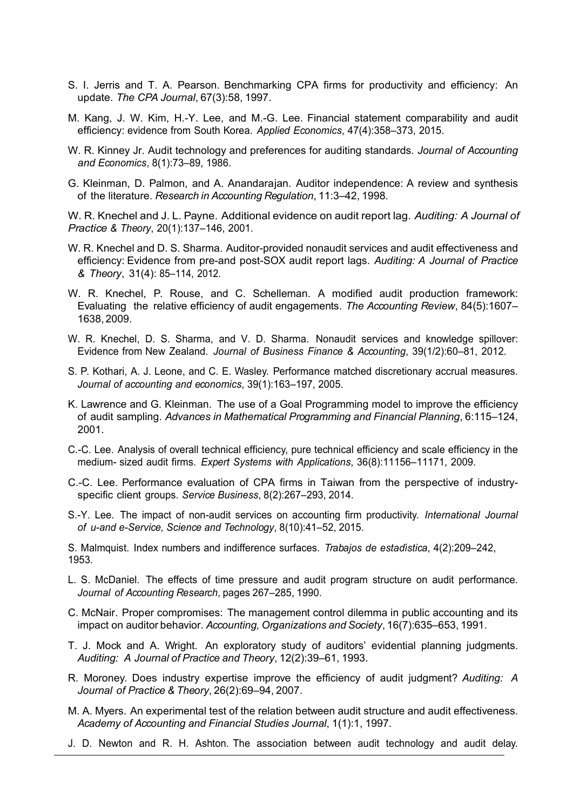- S. I. Jerris and T. A. Pearson. Benchmarking CPA firms for productivity and efficiency: An update. *The CPA Journal*, 67(3):58, 1997.
- M. Kang, J. W. Kim, H.-Y. Lee, and M.-G. Lee. Financial statement comparability and audit efficiency: evidence from South Korea. *Applied Economics*, 47(4):358–373, 2015.
- W. R. Kinney Jr. Audit technology and preferences for auditing standards. *Journal of Accounting and Economics*, 8(1):73–89, 1986.
- G. Kleinman, D. Palmon, and A. Anandarajan. Auditor independence: A review and synthesis of the literature. *Research in Accounting Regulation*, 11:3–42, 1998.

W. R. Knechel and J. L. Payne. Additional evidence on audit report lag. *Auditing: A Journal of Practice & Theory*, 20(1):137–146, 2001.

- W. R. Knechel and D. S. Sharma. Auditor-provided nonaudit services and audit effectiveness and efficiency: Evidence from pre-and post-SOX audit report lags. *Auditing: A Journal of Practice & Theory*, 31(4): 85–114, 2012.
- W. R. Knechel, P. Rouse, and C. Schelleman. A modified audit production framework: Evaluating the relative efficiency of audit engagements. *The Accounting Review*, 84(5):1607– 1638, 2009.
- W. R. Knechel, D. S. Sharma, and V. D. Sharma. Nonaudit services and knowledge spillover: Evidence from New Zealand. *Journal of Business Finance & Accounting*, 39(1/2):60–81, 2012.
- S. P. Kothari, A. J. Leone, and C. E. Wasley. Performance matched discretionary accrual measures. *Journal of accounting and economics*, 39(1):163–197, 2005.
- K. Lawrence and G. Kleinman. The use of a Goal Programming model to improve the efficiency of audit sampling. *Advances in Mathematical Programming and Financial Planning*, 6:115–124, 2001.
- C.-C. Lee. Analysis of overall technical efficiency, pure technical efficiency and scale efficiency in the medium- sized audit firms. *Expert Systems with Applications*, 36(8):11156–11171, 2009.
- C.-C. Lee. Performance evaluation of CPA firms in Taiwan from the perspective of industryspecific client groups. *Service Business*, 8(2):267–293, 2014.
- S.-Y. Lee. The impact of non-audit services on accounting firm productivity. *International Journal of u-and e-Service, Science and Technology*, 8(10):41–52, 2015.

S. Malmquist. Index numbers and indifference surfaces. *Trabajos de estad´ıstica*, 4(2):209–242, 1953.

- L. S. McDaniel. The effects of time pressure and audit program structure on audit performance. *Journal of Accounting Research*, pages 267–285, 1990.
- C. McNair. Proper compromises: The management control dilemma in public accounting and its impact on auditor behavior. *Accounting, Organizations and Society*, 16(7):635–653, 1991.
- T. J. Mock and A. Wright. An exploratory study of auditors' evidential planning judgments. *Auditing: A Journal of Practice and Theory*, 12(2):39–61, 1993.
- R. Moroney. Does industry expertise improve the efficiency of audit judgment? *Auditing: A Journal of Practice & Theory*, 26(2):69–94, 2007.
- M. A. Myers. An experimental test of the relation between audit structure and audit effectiveness. *Academy of Accounting and Financial Studies Journal*, 1(1):1, 1997.
- J. D. Newton and R. H. Ashton. The association between audit technology and audit delay.